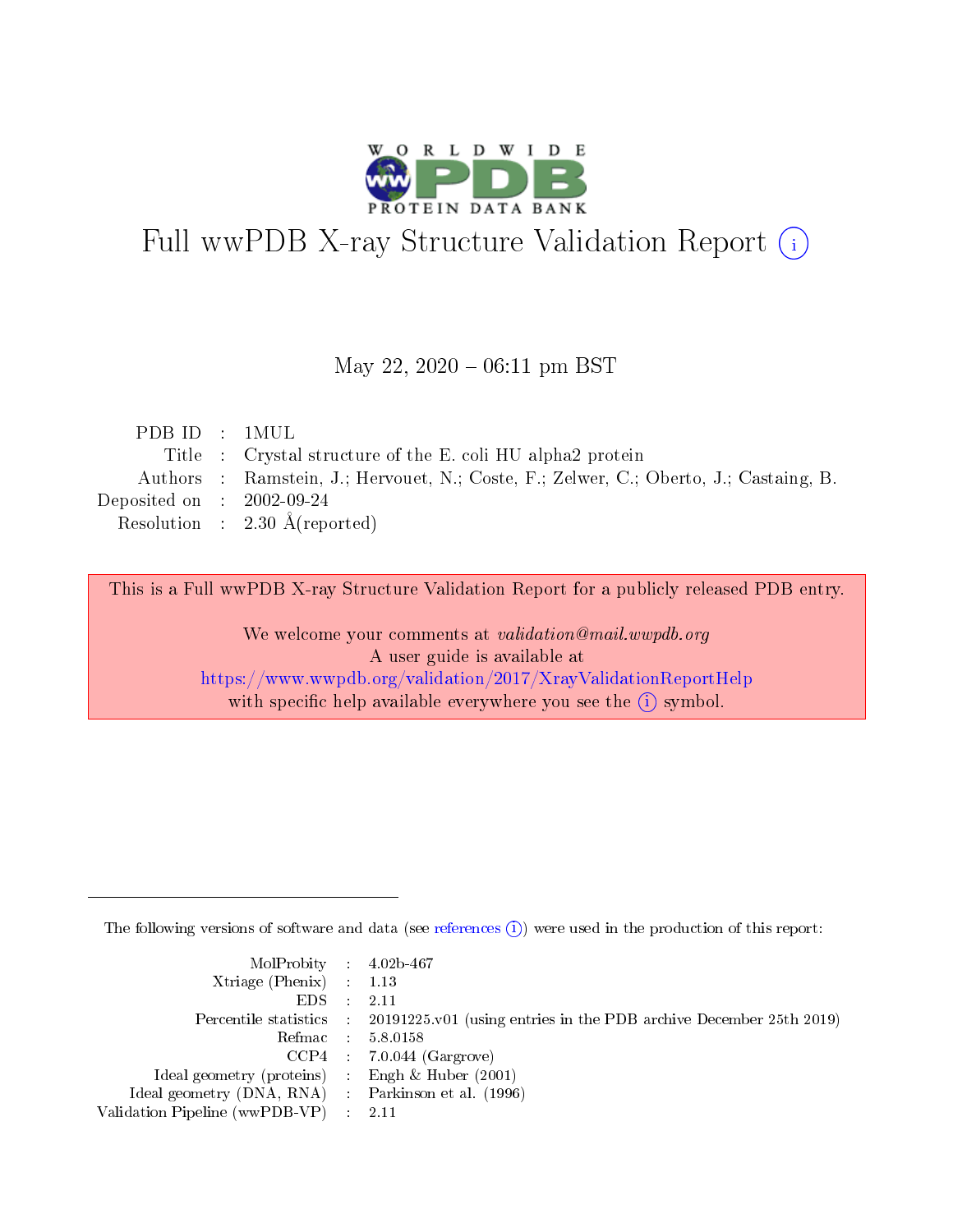

# Full wwPDB X-ray Structure Validation Report (i)

#### May 22,  $2020 - 06:11$  pm BST

| PDBID : 1MUL                |                                                                                       |
|-----------------------------|---------------------------------------------------------------------------------------|
|                             | Title : Crystal structure of the E. coli HU alpha2 protein                            |
|                             | Authors : Ramstein, J.; Hervouet, N.; Coste, F.; Zelwer, C.; Oberto, J.; Castaing, B. |
| Deposited on : $2002-09-24$ |                                                                                       |
|                             | Resolution : $2.30 \text{ Å}$ (reported)                                              |
|                             |                                                                                       |

This is a Full wwPDB X-ray Structure Validation Report for a publicly released PDB entry.

We welcome your comments at validation@mail.wwpdb.org A user guide is available at <https://www.wwpdb.org/validation/2017/XrayValidationReportHelp> with specific help available everywhere you see the  $(i)$  symbol.

The following versions of software and data (see [references](https://www.wwpdb.org/validation/2017/XrayValidationReportHelp#references)  $(i)$ ) were used in the production of this report:

| $MolProbability$ 4.02b-467                          |                                                                                            |
|-----------------------------------------------------|--------------------------------------------------------------------------------------------|
| Xtriage (Phenix) $: 1.13$                           |                                                                                            |
| $EDS$ :                                             | -2.11                                                                                      |
|                                                     | Percentile statistics : 20191225.v01 (using entries in the PDB archive December 25th 2019) |
|                                                     | Refmac : 5.8.0158                                                                          |
|                                                     | $CCP4$ : 7.0.044 (Gargrove)                                                                |
| Ideal geometry (proteins) : Engh $\&$ Huber (2001)  |                                                                                            |
| Ideal geometry (DNA, RNA) : Parkinson et al. (1996) |                                                                                            |
| Validation Pipeline (wwPDB-VP)                      | -2.11                                                                                      |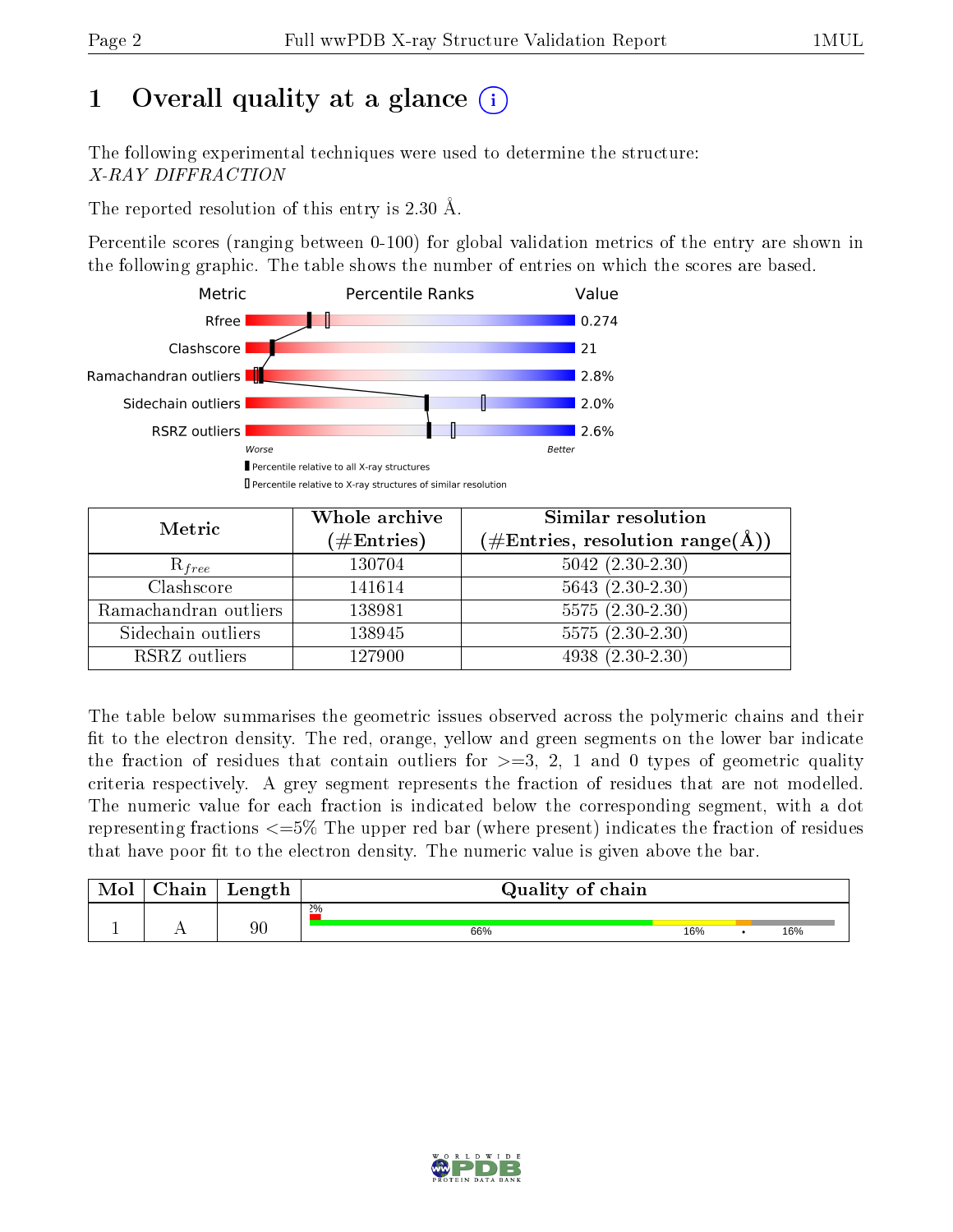# 1 [O](https://www.wwpdb.org/validation/2017/XrayValidationReportHelp#overall_quality)verall quality at a glance  $(i)$

The following experimental techniques were used to determine the structure: X-RAY DIFFRACTION

The reported resolution of this entry is 2.30 Å.

Percentile scores (ranging between 0-100) for global validation metrics of the entry are shown in the following graphic. The table shows the number of entries on which the scores are based.



| Metric                | Whole archive<br>$(\#\text{Entries})$ | Similar resolution<br>$(\#\text{Entries},\,\text{resolution}\,\,\text{range}(\textup{\AA}))$ |  |  |
|-----------------------|---------------------------------------|----------------------------------------------------------------------------------------------|--|--|
| $R_{free}$            | 130704                                | $5042 (2.30 - 2.30)$                                                                         |  |  |
| Clashscore            | 141614                                | $5643(2.30-2.30)$                                                                            |  |  |
| Ramachandran outliers | 138981                                | $5575(2.30-2.30)$                                                                            |  |  |
| Sidechain outliers    | 138945                                | $5575(2.30-2.30)$                                                                            |  |  |
| RSRZ outliers         | 127900                                | $4938(2.30-2.30)$                                                                            |  |  |

The table below summarises the geometric issues observed across the polymeric chains and their fit to the electron density. The red, orange, yellow and green segments on the lower bar indicate the fraction of residues that contain outliers for  $>=3, 2, 1$  and 0 types of geometric quality criteria respectively. A grey segment represents the fraction of residues that are not modelled. The numeric value for each fraction is indicated below the corresponding segment, with a dot representing fractions  $\epsilon=5\%$  The upper red bar (where present) indicates the fraction of residues that have poor fit to the electron density. The numeric value is given above the bar.

| Mol | $\cap$ hain | Length | Quality of chain |     |  |     |  |  |
|-----|-------------|--------|------------------|-----|--|-----|--|--|
|     |             |        | $2\%$            |     |  |     |  |  |
| л.  | . .         | 90     | 66%              | 16% |  | 16% |  |  |

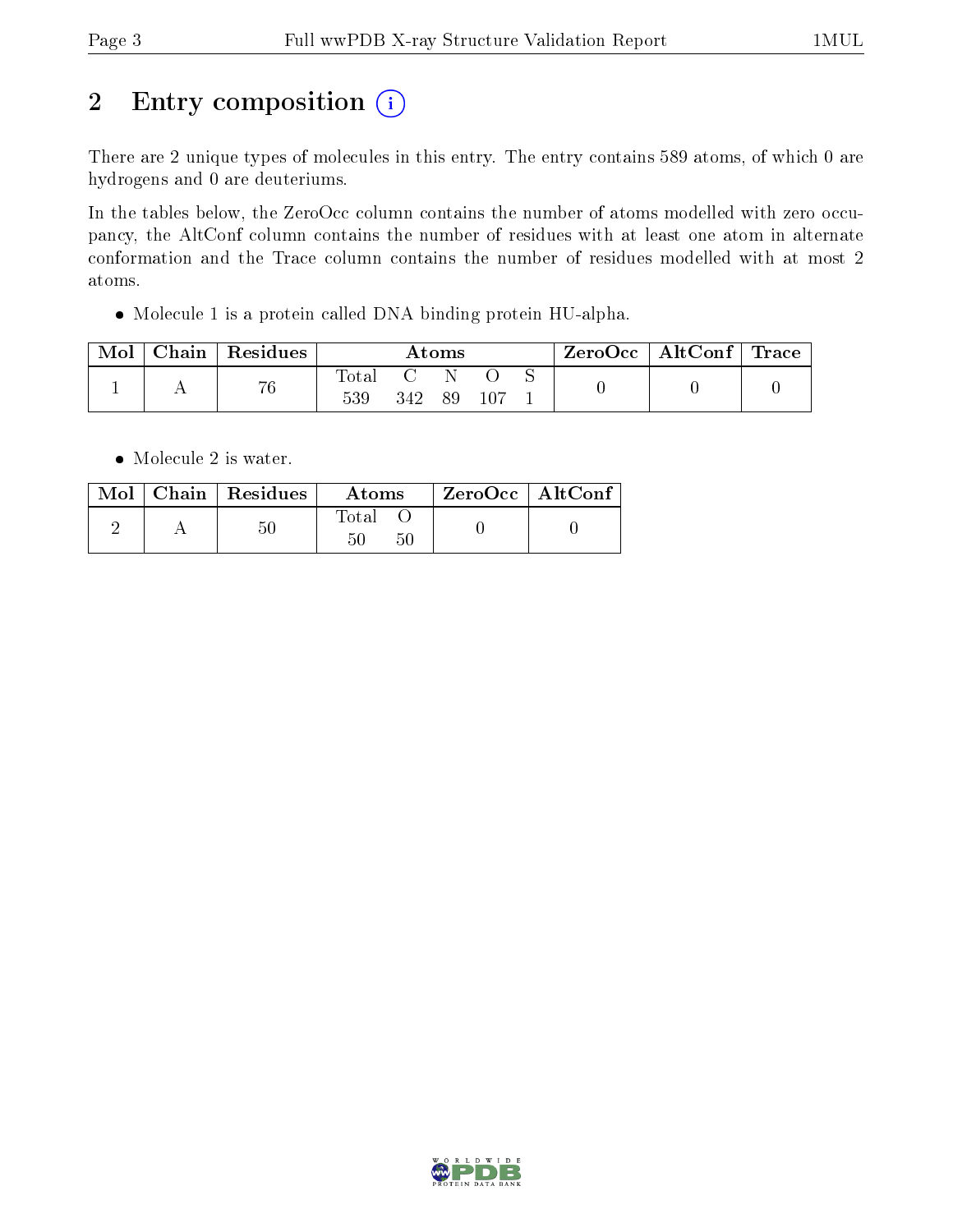# 2 Entry composition  $(i)$

There are 2 unique types of molecules in this entry. The entry contains 589 atoms, of which 0 are hydrogens and 0 are deuteriums.

In the tables below, the ZeroOcc column contains the number of atoms modelled with zero occupancy, the AltConf column contains the number of residues with at least one atom in alternate conformation and the Trace column contains the number of residues modelled with at most 2 atoms.

Molecule 1 is a protein called DNA binding protein HU-alpha.

| Mol | Chain   Residues | Atoms        |     |    | $\text{ZeroOcc} \mid \text{AltConf} \mid \text{Trace}$ |  |  |  |
|-----|------------------|--------------|-----|----|--------------------------------------------------------|--|--|--|
|     | 76               | Total<br>539 | 342 | 89 |                                                        |  |  |  |

• Molecule 2 is water.

|  | Mol   Chain   Residues | Atoms             | ZeroOcc   AltConf |  |
|--|------------------------|-------------------|-------------------|--|
|  | $50\,$                 | Total<br>50<br>50 |                   |  |

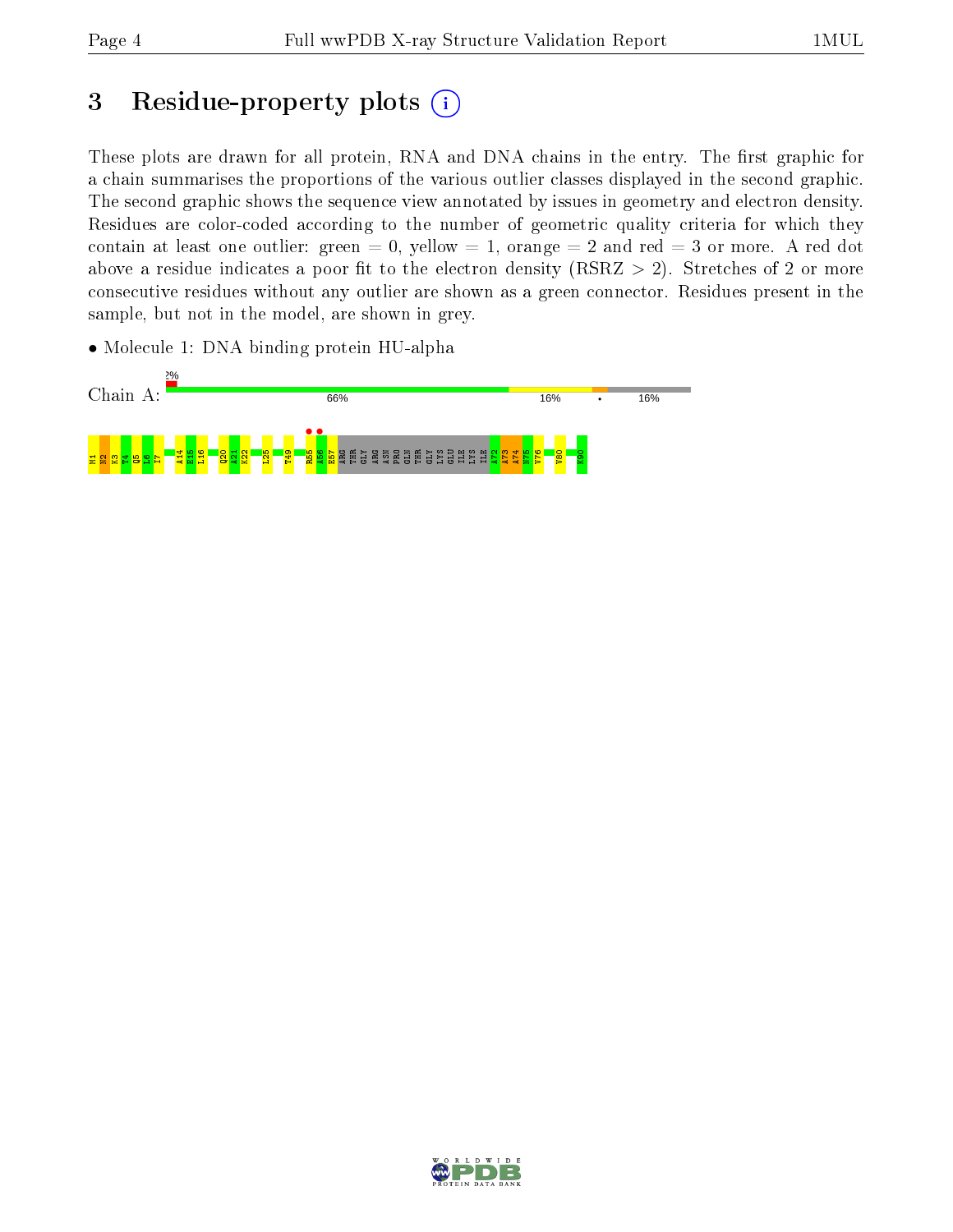# 3 Residue-property plots (i)

These plots are drawn for all protein, RNA and DNA chains in the entry. The first graphic for a chain summarises the proportions of the various outlier classes displayed in the second graphic. The second graphic shows the sequence view annotated by issues in geometry and electron density. Residues are color-coded according to the number of geometric quality criteria for which they contain at least one outlier: green  $= 0$ , yellow  $= 1$ , orange  $= 2$  and red  $= 3$  or more. A red dot above a residue indicates a poor fit to the electron density (RSRZ  $> 2$ ). Stretches of 2 or more consecutive residues without any outlier are shown as a green connector. Residues present in the sample, but not in the model, are shown in grey.

• Molecule 1: DNA binding protein HU-alpha



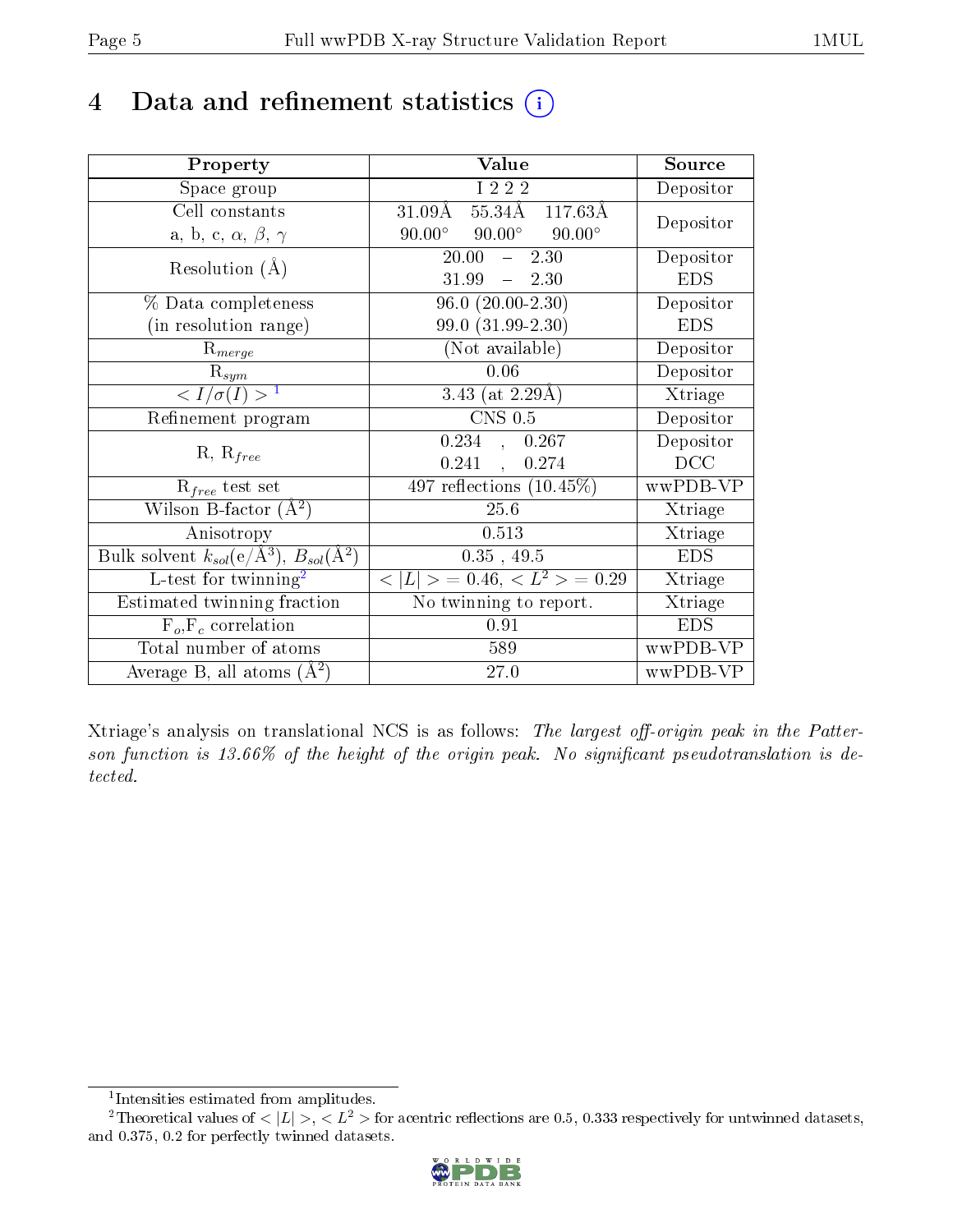## 4 Data and refinement statistics  $(i)$

| Property                                                   | Value                                            | Source     |
|------------------------------------------------------------|--------------------------------------------------|------------|
| Space group                                                | I 2 2 2                                          | Depositor  |
| Cell constants                                             | $31.09\AA$ 55.34Å 117.63Å                        | Depositor  |
| a, b, c, $\alpha$ , $\beta$ , $\gamma$                     | $90.00^{\circ}$ $90.00^{\circ}$<br>$90.00^\circ$ |            |
| Resolution $(A)$                                           | 20.00<br>2.30<br>$\frac{1}{2}$                   | Depositor  |
|                                                            | 31.99<br>$-2.30$                                 | <b>EDS</b> |
| % Data completeness                                        | $96.0(20.00-2.30)$                               | Depositor  |
| (in resolution range)                                      | 99.0 (31.99-2.30)                                | <b>EDS</b> |
| $R_{merge}$                                                | (Not available)                                  | Depositor  |
| $\mathrm{R}_{sym}$                                         | 0.06                                             | Depositor  |
| $\langle I/\sigma(I) \rangle$ <sup>1</sup>                 | 3.43 (at $2.29\text{\AA})$                       | Xtriage    |
| Refinement program                                         | $CNS$ 0.5                                        | Depositor  |
|                                                            | 0.234, 0.267                                     | Depositor  |
| $R, R_{free}$                                              | 0.241,<br>0.274                                  | DCC        |
| $R_{free}$ test set                                        | 497 reflections $(10.45\%)$                      | wwPDB-VP   |
| Wilson B-factor $(A^2)$                                    | 25.6                                             | Xtriage    |
| Anisotropy                                                 | 0.513                                            | Xtriage    |
| Bulk solvent $k_{sol}$ (e/Å <sup>3</sup> ), $B_{sol}(A^2)$ | $0.35$ , 49.5                                    | <b>EDS</b> |
| L-test for twinning <sup>2</sup>                           | $< L >$ = 0.46, $< L2 >$ = 0.29                  | Xtriage    |
| Estimated twinning fraction                                | No twinning to report.                           | Xtriage    |
| $\overline{F_o}, \overline{F_c}$ correlation               | 0.91                                             | <b>EDS</b> |
| Total number of atoms                                      | 589                                              | wwPDB-VP   |
| Average B, all atoms $(A^2)$                               | 27.0                                             | wwPDB-VP   |

Xtriage's analysis on translational NCS is as follows: The largest off-origin peak in the Patterson function is  $13.66\%$  of the height of the origin peak. No significant pseudotranslation is detected.

<sup>&</sup>lt;sup>2</sup>Theoretical values of  $\langle |L| \rangle$ ,  $\langle L^2 \rangle$  for acentric reflections are 0.5, 0.333 respectively for untwinned datasets, and 0.375, 0.2 for perfectly twinned datasets.



<span id="page-4-1"></span><span id="page-4-0"></span><sup>1</sup> Intensities estimated from amplitudes.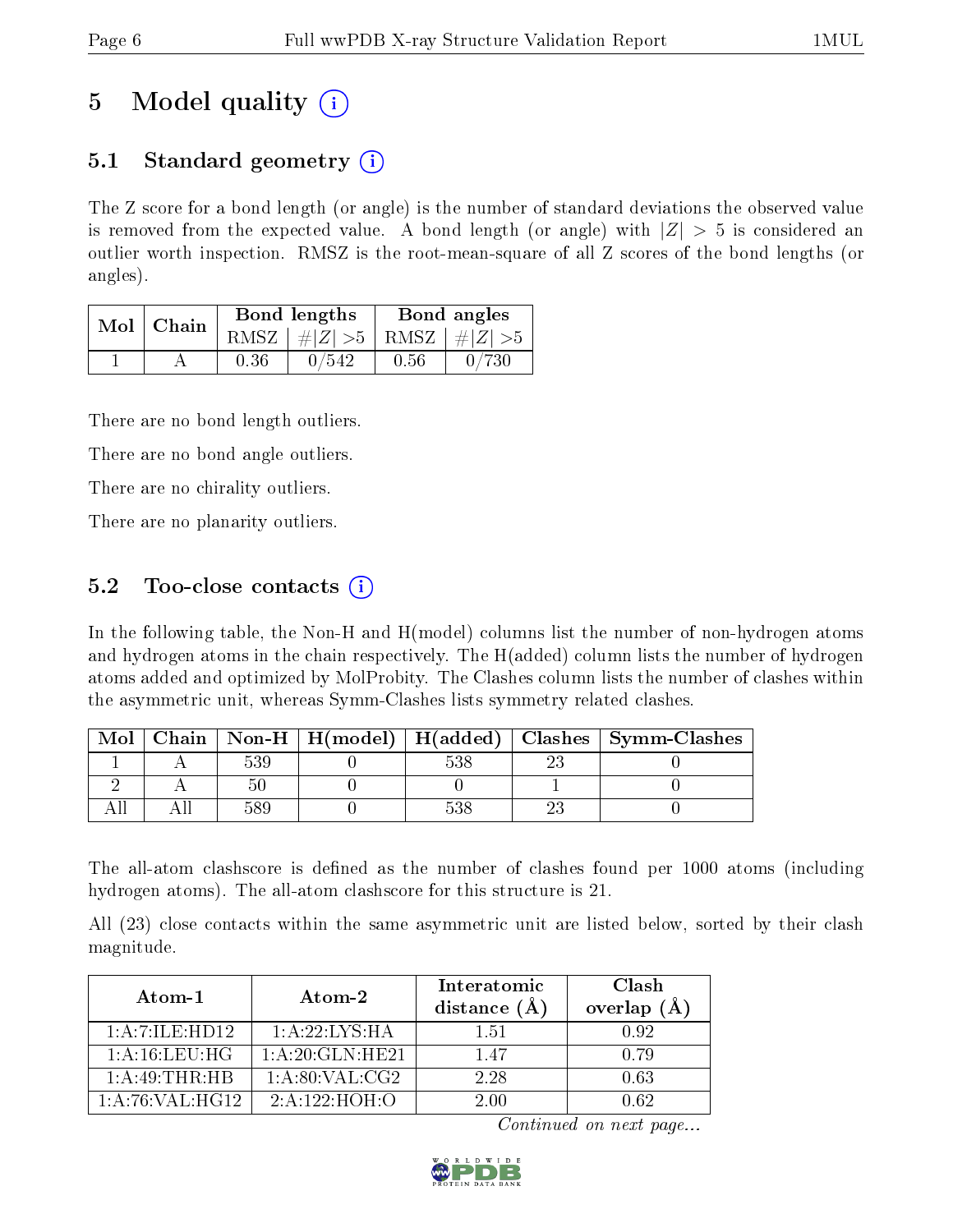## 5 Model quality  $(i)$

### 5.1 Standard geometry  $(i)$

The Z score for a bond length (or angle) is the number of standard deviations the observed value is removed from the expected value. A bond length (or angle) with  $|Z| > 5$  is considered an outlier worth inspection. RMSZ is the root-mean-square of all Z scores of the bond lengths (or angles).

| Mol | Chain |      | <b>Bond lengths</b>        | Bond angles |       |  |
|-----|-------|------|----------------------------|-------------|-------|--|
|     |       | RMSZ | $\#Z  > 5$ RMSZ $\#Z  > 5$ |             |       |  |
|     |       | 0.36 | $0\, / 542$                | 0.56        | 0/730 |  |

There are no bond length outliers.

There are no bond angle outliers.

There are no chirality outliers.

There are no planarity outliers.

### 5.2 Too-close contacts  $\overline{()}$

In the following table, the Non-H and H(model) columns list the number of non-hydrogen atoms and hydrogen atoms in the chain respectively. The H(added) column lists the number of hydrogen atoms added and optimized by MolProbity. The Clashes column lists the number of clashes within the asymmetric unit, whereas Symm-Clashes lists symmetry related clashes.

| Mol |  |  | Chain   Non-H   H(model)   H(added)   Clashes   Symm-Clashes |
|-----|--|--|--------------------------------------------------------------|
|     |  |  |                                                              |
|     |  |  |                                                              |
|     |  |  |                                                              |

The all-atom clashscore is defined as the number of clashes found per 1000 atoms (including hydrogen atoms). The all-atom clashscore for this structure is 21.

All (23) close contacts within the same asymmetric unit are listed below, sorted by their clash magnitude.

| Atom-1             | Atom-2             | Interatomic<br>distance $(\AA)$ | Clash<br>overlap $(A)$ |
|--------------------|--------------------|---------------------------------|------------------------|
| 1: A: 7: ILE: HD12 | 1: A:22: LYS: HA   | 151                             | 0.92                   |
| 1: A: 16: LEU: HG  | 1: A:20: GLN: HE21 | 1.47                            | 0.79                   |
| 1:A:49:THR:HB      | 1: A:80: VAL: CG2  | 2.28                            | 0.63                   |
| 1: A:76: VAL:HG12  | 2: A: 122: HOH: O  | 2.00                            | በ 62                   |

Continued on next page...

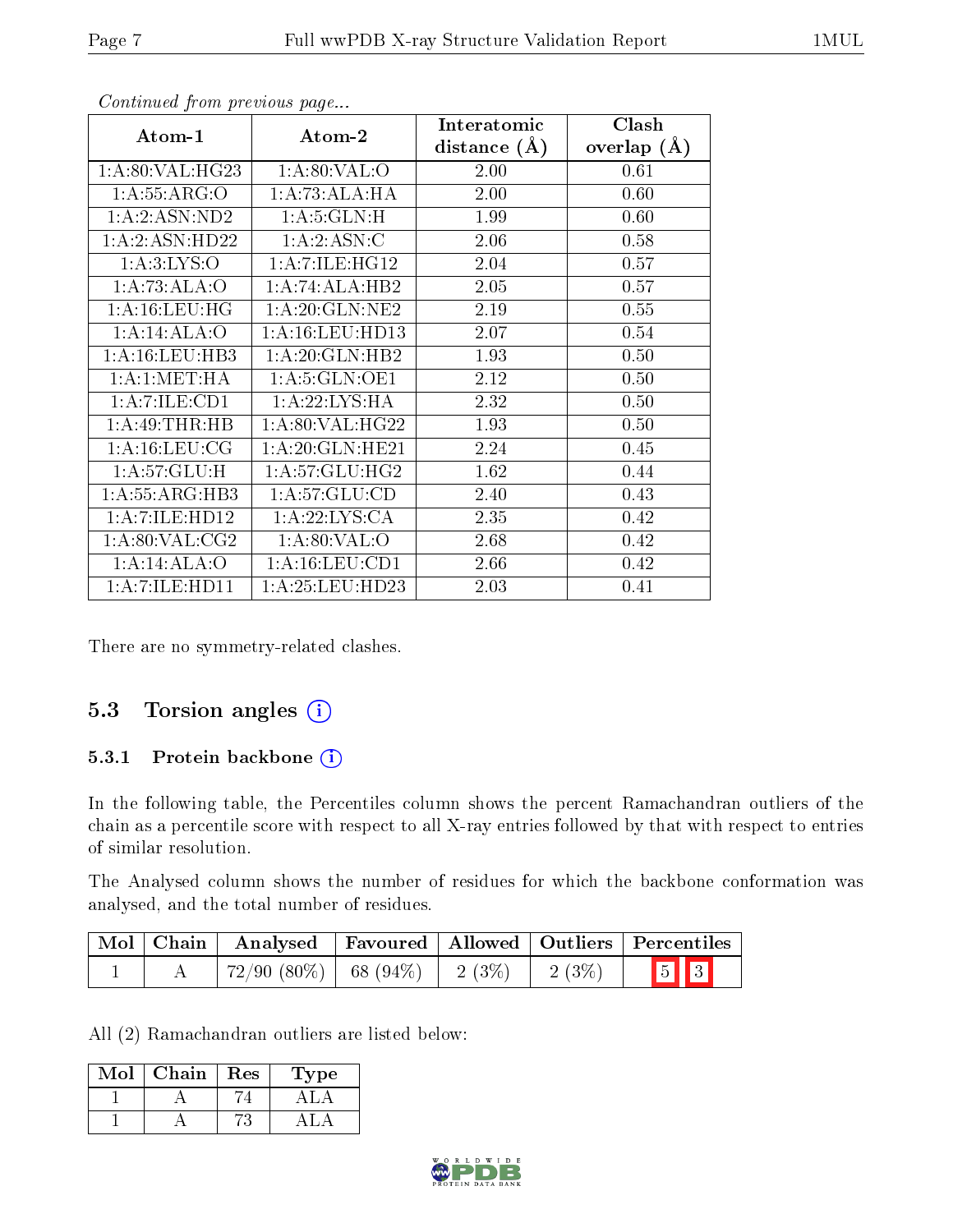| Atom-1                    | Atom-2                                  | Interatomic<br>distance $(A)$ | Clash<br>overlap $(\AA)$ |
|---------------------------|-----------------------------------------|-------------------------------|--------------------------|
| 1: A:80: VAL: HG23        | 1: A:80: VAL:O                          | 2.00                          | 0.61                     |
| 1: A: 55: ARG: O          | 1:A:73:ALA:HA                           | 2.00                          | 0.60                     |
| 1:A:2:ASN:ND2             | 1: A:5: GLN:H                           | 1.99                          | 0.60                     |
| 1: A:2: ASN: HD22         | 1:A:2:ASN:C                             | 2.06                          | 0.58                     |
| 1: A:3: LYS:O             | 1: A: 7: ILE: HG12                      | 2.04                          | 0.57                     |
| 1:A:73:ALA:O              | 1:A:74:ALA:HB2                          | 2.05                          | 0.57                     |
| 1: A:16:LEU:HG            | $1:$ A:20:GLN:NE2                       | 2.19                          | 0.55                     |
| 1:A:4:ALA:O               | 1: A: 16: LEU: HD13                     | 2.07                          | 0.54                     |
| 1: A:16:LEU:HB3           | $1:$ A:20:GLN:HB2                       | 1.93                          | 0.50                     |
| 1: A:1: MET:HA            | 1: A:5: GLN:OE1                         | 2.12                          | 0.50                     |
| 1:A:7:ILE:CD1             | 1:A:22:LYS:HA                           | 2.32                          | 0.50                     |
| 1: A:49:THR:HB            | $1:\overline{A}:80:\overline{VAL}:HG22$ | 1.93                          | 0.50                     |
| 1: A:16: LEU: CG          | 1:A:20:GLN:HE21                         | 2.24                          | 0.45                     |
| $1:A:57:GLU:\overline{H}$ | 1: A:57: GLU: HG2                       | 1.62                          | 0.44                     |
| 1: A: 55: ARG: HB3        | 1: A: 57: GLU: CD                       | 2.40                          | 0.43                     |
| 1:A:7:ILE:HD12            | 1: A:22: LYS:CA                         | 2.35                          | 0.42                     |
| 1: A:80: VAL: CG2         | 1: A:80: VAL:O                          | 2.68                          | 0.42                     |
| 1:A:14:ALA:O              | 1:A:16:LEU:CD1                          | 2.66                          | 0.42                     |
| 1:A:7:ILE:HD11            | 1: A:25:LEU:HD23                        | 2.03                          | 0.41                     |

Continued from previous page...

There are no symmetry-related clashes.

#### 5.3 Torsion angles (i)

#### 5.3.1 Protein backbone (i)

In the following table, the Percentiles column shows the percent Ramachandran outliers of the chain as a percentile score with respect to all X-ray entries followed by that with respect to entries of similar resolution.

The Analysed column shows the number of residues for which the backbone conformation was analysed, and the total number of residues.

| $\mid$ Mol $\mid$ Chain $\mid$ | $\vert$ Analysed $\vert$                   |  |          | Favoured   Allowed   Outliers   Percentiles |
|--------------------------------|--------------------------------------------|--|----------|---------------------------------------------|
|                                | $72/90$ $(80\%)$   68 $(94\%)$   2 $(3\%)$ |  | $2(3\%)$ | $\boxed{5}$ $\boxed{3}$                     |

All (2) Ramachandran outliers are listed below:

| Mol | Chain | Res | Type |
|-----|-------|-----|------|
|     |       |     |      |
|     |       |     |      |

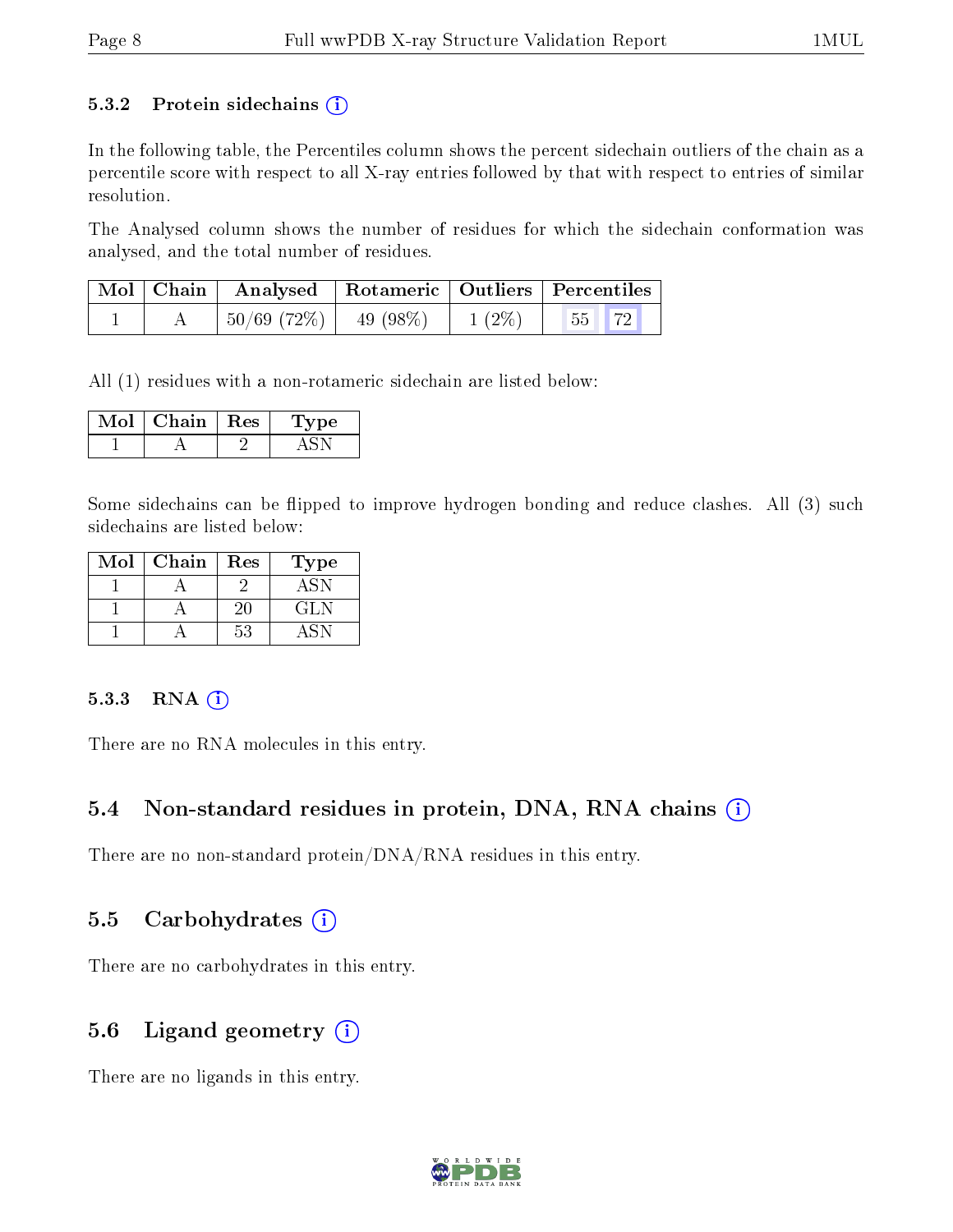#### 5.3.2 Protein sidechains  $(i)$

In the following table, the Percentiles column shows the percent sidechain outliers of the chain as a percentile score with respect to all X-ray entries followed by that with respect to entries of similar resolution.

The Analysed column shows the number of residues for which the sidechain conformation was analysed, and the total number of residues.

|  | Mol   Chain   Analysed   Rotameric   Outliers   Percentiles |          |                                                                            |  |
|--|-------------------------------------------------------------|----------|----------------------------------------------------------------------------|--|
|  | $^+$ 50/69 (72%) $\vert$ 49 (98%) $\vert$                   | $1(2\%)$ | $\begin{array}{ c c c c c } \hline \text{55} & \text{.} \end{array}$<br>72 |  |

All (1) residues with a non-rotameric sidechain are listed below:

| Chain   Res | $^{\prime}$ pe |
|-------------|----------------|
|             |                |

Some sidechains can be flipped to improve hydrogen bonding and reduce clashes. All (3) such sidechains are listed below:

| Mol | Chain | Res | Type |
|-----|-------|-----|------|
|     |       |     |      |
|     |       | 20  | GL N |
|     |       | 53  |      |

#### $5.3.3$  RNA  $(i)$

There are no RNA molecules in this entry.

#### 5.4 Non-standard residues in protein, DNA, RNA chains  $(i)$

There are no non-standard protein/DNA/RNA residues in this entry.

#### 5.5 Carbohydrates  $(i)$

There are no carbohydrates in this entry.

#### 5.6 Ligand geometry  $(i)$

There are no ligands in this entry.

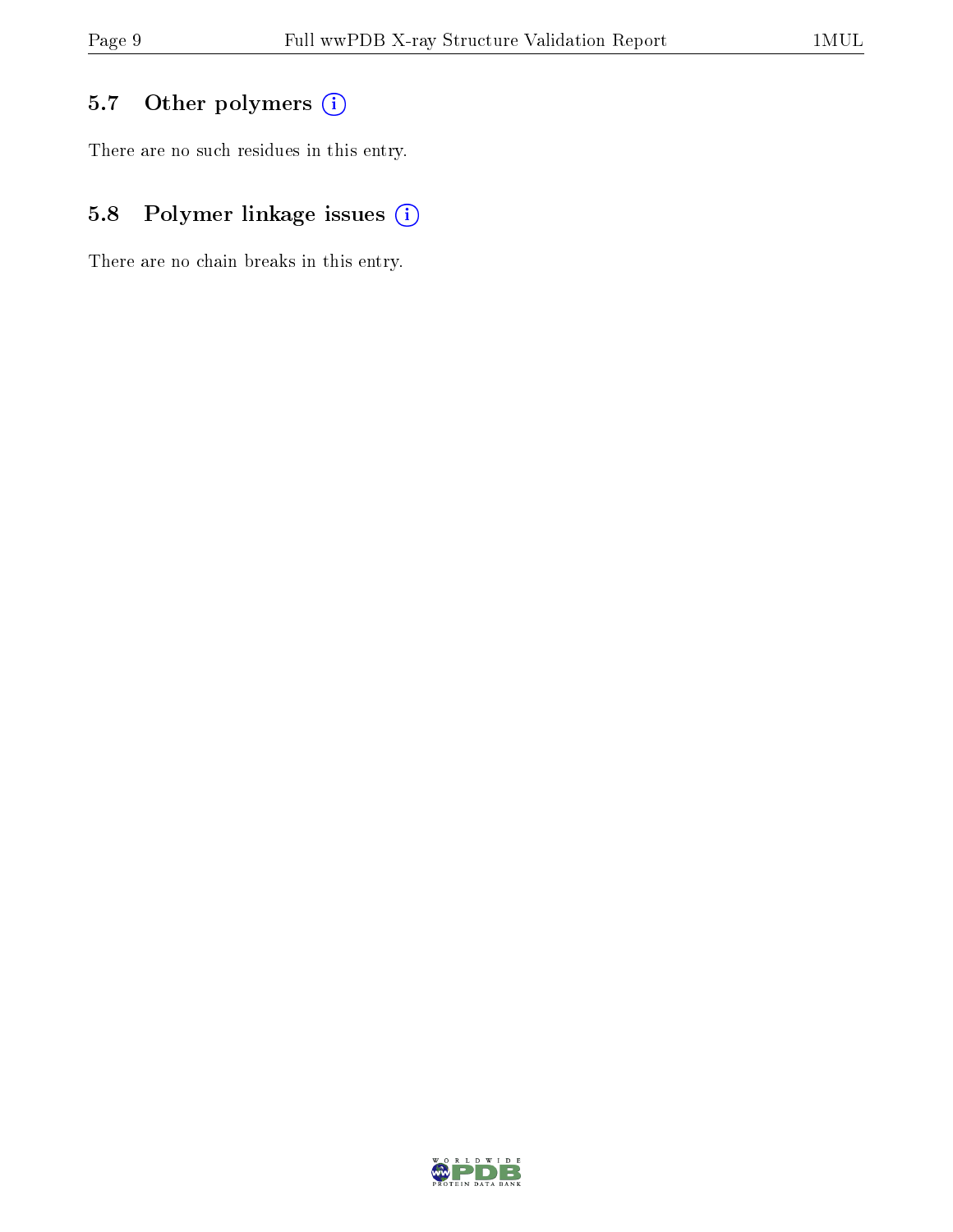### 5.7 [O](https://www.wwpdb.org/validation/2017/XrayValidationReportHelp#nonstandard_residues_and_ligands)ther polymers (i)

There are no such residues in this entry.

### 5.8 Polymer linkage issues (i)

There are no chain breaks in this entry.